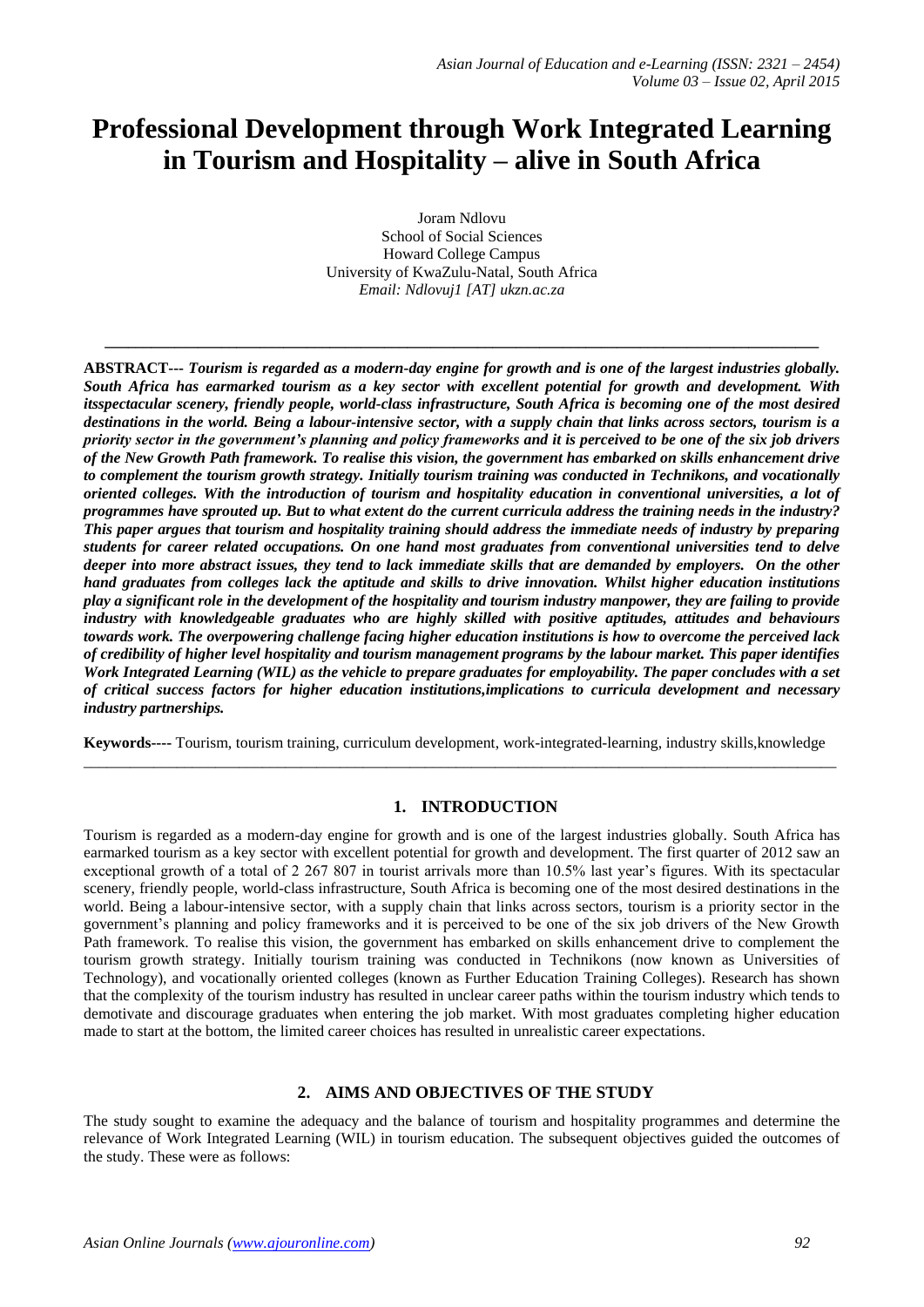# **Professional Development through Work Integrated Learning in Tourism and Hospitality – alive in South Africa**

Joram Ndlovu School of Social Sciences Howard College Campus University of KwaZulu-Natal, South Africa *Email: Ndlovuj1 [AT] ukzn.ac.za*

**\_\_\_\_\_\_\_\_\_\_\_\_\_\_\_\_\_\_\_\_\_\_\_\_\_\_\_\_\_\_\_\_\_\_\_\_\_\_\_\_\_\_\_\_\_\_\_\_\_\_\_\_\_\_\_\_\_\_\_\_\_\_\_\_\_\_\_\_\_\_\_\_\_\_\_\_\_\_\_\_\_\_\_\_\_\_\_\_\_\_\_\_**

**ABSTRACT---** *Tourism is regarded as a modern-day engine for growth and is one of the largest industries globally. South Africa has earmarked tourism as a key sector with excellent potential for growth and development. With itsspectacular scenery, friendly people, world-class infrastructure, South Africa is becoming one of the most desired destinations in the world. Being a labour-intensive sector, with a supply chain that links across sectors, tourism is a priority sector in the government's planning and policy frameworks and it is perceived to be one of the six job drivers of the New Growth Path framework. To realise this vision, the government has embarked on skills enhancement drive to complement the tourism growth strategy. Initially tourism training was conducted in Technikons, and vocationally oriented colleges. With the introduction of tourism and hospitality education in conventional universities, a lot of programmes have sprouted up. But to what extent do the current curricula address the training needs in the industry? This paper argues that tourism and hospitality training should address the immediate needs of industry by preparing students for career related occupations. On one hand most graduates from conventional universities tend to delve deeper into more abstract issues, they tend to lack immediate skills that are demanded by employers. On the other hand graduates from colleges lack the aptitude and skills to drive innovation. Whilst higher education institutions play a significant role in the development of the hospitality and tourism industry manpower, they are failing to provide industry with knowledgeable graduates who are highly skilled with positive aptitudes, attitudes and behaviours towards work. The overpowering challenge facing higher education institutions is how to overcome the perceived lack of credibility of higher level hospitality and tourism management programs by the labour market. This paper identifies Work Integrated Learning (WIL) as the vehicle to prepare graduates for employability. The paper concludes with a set of critical success factors for higher education institutions,implications to curricula development and necessary industry partnerships.*

**Keywords----** Tourism, tourism training, curriculum development, work-integrated-learning, industry skills,knowledge  $\_$  ,  $\_$  ,  $\_$  ,  $\_$  ,  $\_$  ,  $\_$  ,  $\_$  ,  $\_$  ,  $\_$  ,  $\_$  ,  $\_$  ,  $\_$  ,  $\_$  ,  $\_$  ,  $\_$  ,  $\_$  ,  $\_$  ,  $\_$  ,  $\_$  ,  $\_$  ,  $\_$  ,  $\_$  ,  $\_$  ,  $\_$  ,  $\_$  ,  $\_$  ,  $\_$  ,  $\_$  ,  $\_$  ,  $\_$  ,  $\_$  ,  $\_$  ,  $\_$  ,  $\_$  ,  $\_$  ,  $\_$  ,  $\_$  ,

## **1. INTRODUCTION**

Tourism is regarded as a modern-day engine for growth and is one of the largest industries globally. South Africa has earmarked tourism as a key sector with excellent potential for growth and development. The first quarter of 2012 saw an exceptional growth of a total of 2 267 807 in tourist arrivals more than 10.5% last year"s figures. With its spectacular scenery, friendly people, world-class infrastructure, South Africa is becoming one of the most desired destinations in the world. Being a labour-intensive sector, with a supply chain that links across sectors, tourism is a priority sector in the government's planning and policy frameworks and it is perceived to be one of the six job drivers of the New Growth Path framework. To realise this vision, the government has embarked on skills enhancement drive to complement the tourism growth strategy. Initially tourism training was conducted in Technikons (now known as Universities of Technology), and vocationally oriented colleges (known as Further Education Training Colleges). Research has shown that the complexity of the tourism industry has resulted in unclear career paths within the tourism industry which tends to demotivate and discourage graduates when entering the job market. With most graduates completing higher education made to start at the bottom, the limited career choices has resulted in unrealistic career expectations.

# **2. AIMS AND OBJECTIVES OF THE STUDY**

The study sought to examine the adequacy and the balance of tourism and hospitality programmes and determine the relevance of Work Integrated Learning (WIL) in tourism education. The subsequent objectives guided the outcomes of the study. These were as follows: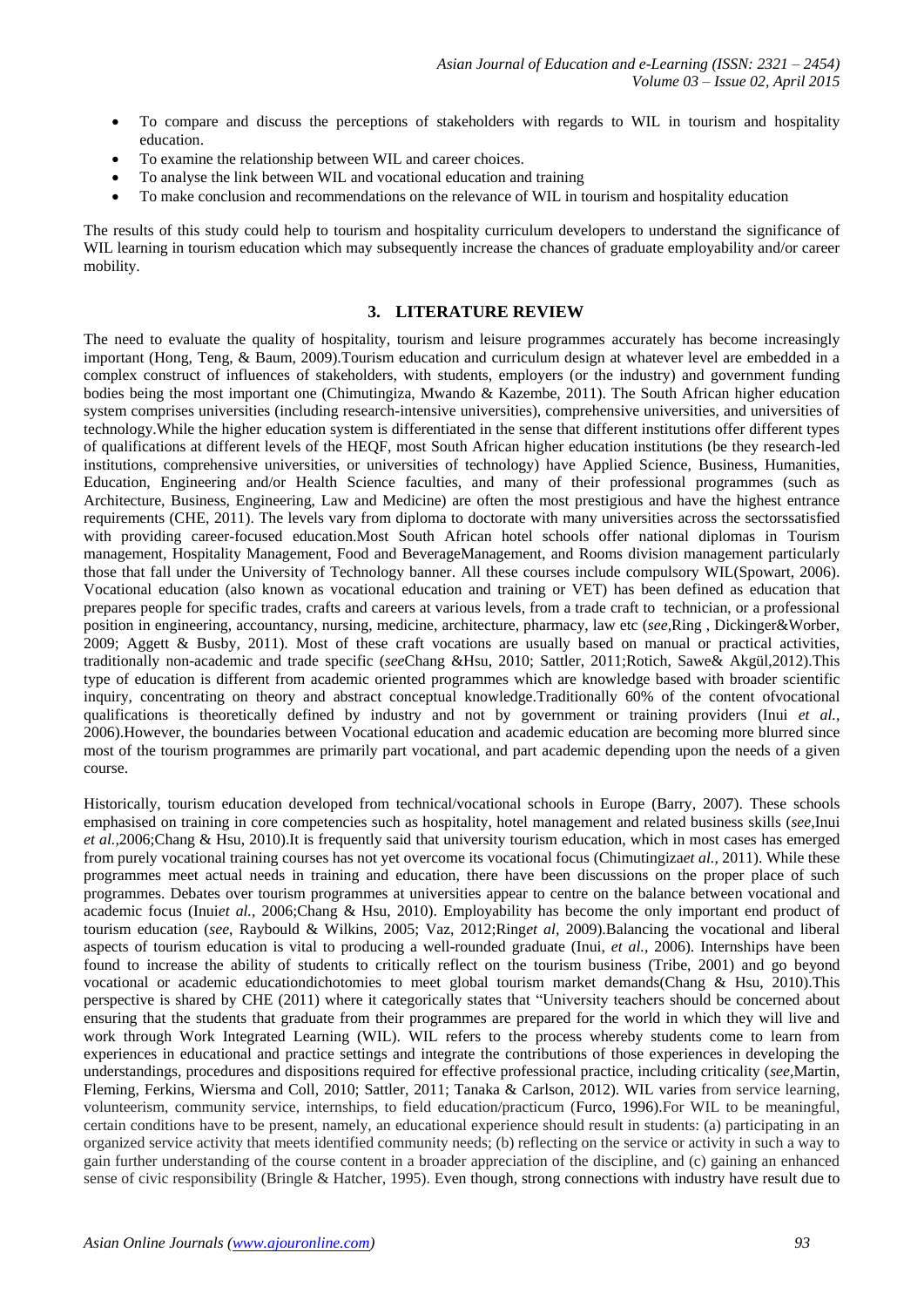- To compare and discuss the perceptions of stakeholders with regards to WIL in tourism and hospitality education.
- To examine the relationship between WIL and career choices.
- To analyse the link between WIL and vocational education and training
- To make conclusion and recommendations on the relevance of WIL in tourism and hospitality education

The results of this study could help to tourism and hospitality curriculum developers to understand the significance of WIL learning in tourism education which may subsequently increase the chances of graduate employability and/or career mobility.

## **3. LITERATURE REVIEW**

The need to evaluate the quality of hospitality, tourism and leisure programmes accurately has become increasingly important (Hong, Teng, & Baum, 2009).Tourism education and curriculum design at whatever level are embedded in a complex construct of influences of stakeholders, with students, employers (or the industry) and government funding bodies being the most important one (Chimutingiza, Mwando & Kazembe, 2011). The South African higher education system comprises universities (including research-intensive universities), comprehensive universities, and universities of technology.While the higher education system is differentiated in the sense that different institutions offer different types of qualifications at different levels of the HEQF, most South African higher education institutions (be they research-led institutions, comprehensive universities, or universities of technology) have Applied Science, Business, Humanities, Education, Engineering and/or Health Science faculties, and many of their professional programmes (such as Architecture, Business, Engineering, Law and Medicine) are often the most prestigious and have the highest entrance requirements (CHE, 2011). The levels vary from diploma to doctorate with many universities across the sectorssatisfied with providing career-focused education.Most South African hotel schools offer national diplomas in Tourism management, Hospitality Management, Food and BeverageManagement, and Rooms division management particularly those that fall under the University of Technology banner. All these courses include compulsory WIL(Spowart, 2006). Vocational education (also known as vocational education and training or VET) has been defined as education that prepares people for specific trades, crafts and careers at various levels, from a trade craft to technician, or a professional position in engineering, accountancy, nursing, medicine, architecture, pharmacy, law etc (*see,*Ring , Dickinger&Worber, 2009; Aggett & Busby, 2011). Most of these craft vocations are usually based on manual or practical activities, traditionally non-academic and trade specific (*see*Chang &Hsu, 2010; Sattler, 2011;Rotich, Sawe& Akgül,2012).This type of education is different from academic oriented programmes which are knowledge based with broader scientific inquiry, concentrating on theory and abstract conceptual knowledge.Traditionally 60% of the content ofvocational qualifications is theoretically defined by industry and not by government or training providers (Inui *et al.,* 2006).However, the boundaries between Vocational education and academic education are becoming more blurred since most of the tourism programmes are primarily part vocational, and part academic depending upon the needs of a given course.

Historically, tourism education developed from technical/vocational schools in Europe (Barry, 2007). These schools emphasised on training in core competencies such as hospitality, hotel management and related business skills (*see,*Inui *et al.,*2006;Chang & Hsu, 2010).It is frequently said that university tourism education, which in most cases has emerged from purely vocational training courses has not yet overcome its vocational focus (Chimutingiza*et al.,* 2011). While these programmes meet actual needs in training and education, there have been discussions on the proper place of such programmes. Debates over tourism programmes at universities appear to centre on the balance between vocational and academic focus (Inui*et al.,* 2006;Chang & Hsu, 2010). Employability has become the only important end product of tourism education (*see*, Raybould & Wilkins, 2005; Vaz, 2012;Ring*et al,* 2009).Balancing the vocational and liberal aspects of tourism education is vital to producing a well-rounded graduate (Inui, *et al.,* 2006). Internships have been found to increase the ability of students to critically reflect on the tourism business (Tribe, 2001) and go beyond vocational or academic educationdichotomies to meet global tourism market demands(Chang & Hsu, 2010).This perspective is shared by CHE (2011) where it categorically states that "University teachers should be concerned about ensuring that the students that graduate from their programmes are prepared for the world in which they will live and work through Work Integrated Learning (WIL). WIL refers to the process whereby students come to learn from experiences in educational and practice settings and integrate the contributions of those experiences in developing the understandings, procedures and dispositions required for effective professional practice, including criticality (*see,*Martin, Fleming, Ferkins, Wiersma and Coll, 2010; Sattler, 2011; Tanaka & Carlson, 2012). WIL varies from service learning, volunteerism, community service, internships, to field education/practicum (Furco, 1996).For WIL to be meaningful, certain conditions have to be present, namely, an educational experience should result in students: (a) participating in an organized service activity that meets identified community needs; (b) reflecting on the service or activity in such a way to gain further understanding of the course content in a broader appreciation of the discipline, and (c) gaining an enhanced sense of civic responsibility (Bringle & Hatcher, 1995). Even though, strong connections with industry have result due to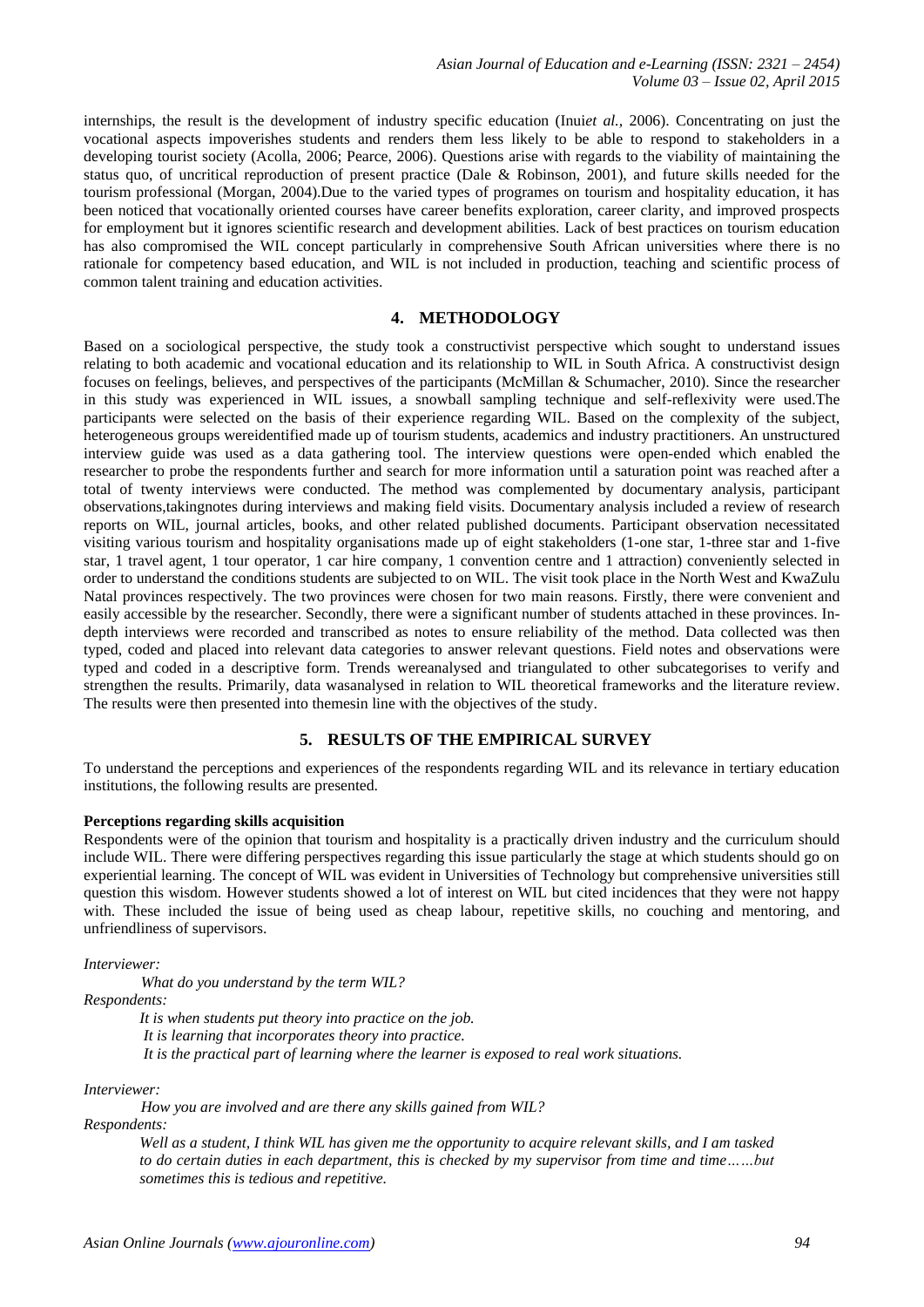internships, the result is the development of industry specific education (Inui*et al.,* 2006). Concentrating on just the vocational aspects impoverishes students and renders them less likely to be able to respond to stakeholders in a developing tourist society (Acolla, 2006; Pearce, 2006). Questions arise with regards to the viability of maintaining the status quo, of uncritical reproduction of present practice (Dale & Robinson, 2001), and future skills needed for the tourism professional (Morgan, 2004).Due to the varied types of programes on tourism and hospitality education, it has been noticed that vocationally oriented courses have career benefits exploration, career clarity, and improved prospects for employment but it ignores scientific research and development abilities. Lack of best practices on tourism education has also compromised the WIL concept particularly in comprehensive South African universities where there is no rationale for competency based education, and WIL is not included in production, teaching and scientific process of common talent training and education activities.

## **4. METHODOLOGY**

Based on a sociological perspective, the study took a constructivist perspective which sought to understand issues relating to both academic and vocational education and its relationship to WIL in South Africa. A constructivist design focuses on feelings, believes, and perspectives of the participants (McMillan & Schumacher, 2010). Since the researcher in this study was experienced in WIL issues, a snowball sampling technique and self-reflexivity were used.The participants were selected on the basis of their experience regarding WIL. Based on the complexity of the subject, heterogeneous groups wereidentified made up of tourism students, academics and industry practitioners. An unstructured interview guide was used as a data gathering tool. The interview questions were open-ended which enabled the researcher to probe the respondents further and search for more information until a saturation point was reached after a total of twenty interviews were conducted. The method was complemented by documentary analysis, participant observations,takingnotes during interviews and making field visits. Documentary analysis included a review of research reports on WIL, journal articles, books, and other related published documents. Participant observation necessitated visiting various tourism and hospitality organisations made up of eight stakeholders (1-one star, 1-three star and 1-five star, 1 travel agent, 1 tour operator, 1 car hire company, 1 convention centre and 1 attraction) conveniently selected in order to understand the conditions students are subjected to on WIL. The visit took place in the North West and KwaZulu Natal provinces respectively. The two provinces were chosen for two main reasons. Firstly, there were convenient and easily accessible by the researcher. Secondly, there were a significant number of students attached in these provinces. Indepth interviews were recorded and transcribed as notes to ensure reliability of the method. Data collected was then typed, coded and placed into relevant data categories to answer relevant questions. Field notes and observations were typed and coded in a descriptive form. Trends wereanalysed and triangulated to other subcategorises to verify and strengthen the results. Primarily, data wasanalysed in relation to WIL theoretical frameworks and the literature review. The results were then presented into themesin line with the objectives of the study.

## **5. RESULTS OF THE EMPIRICAL SURVEY**

To understand the perceptions and experiences of the respondents regarding WIL and its relevance in tertiary education institutions, the following results are presented.

#### **Perceptions regarding skills acquisition**

Respondents were of the opinion that tourism and hospitality is a practically driven industry and the curriculum should include WIL. There were differing perspectives regarding this issue particularly the stage at which students should go on experiential learning. The concept of WIL was evident in Universities of Technology but comprehensive universities still question this wisdom. However students showed a lot of interest on WIL but cited incidences that they were not happy with. These included the issue of being used as cheap labour, repetitive skills, no couching and mentoring, and unfriendliness of supervisors.

*Interviewer:* 

*What do you understand by the term WIL?*

#### *Respondents:*

*It is when students put theory into practice on the job. It is learning that incorporates theory into practice.*

*It is the practical part of learning where the learner is exposed to real work situations.*

*Interviewer:*

*How you are involved and are there any skills gained from WIL?*

*Respondents:* 

*Well as a student, I think WIL has given me the opportunity to acquire relevant skills, and I am tasked to do certain duties in each department, this is checked by my supervisor from time and time……but sometimes this is tedious and repetitive.*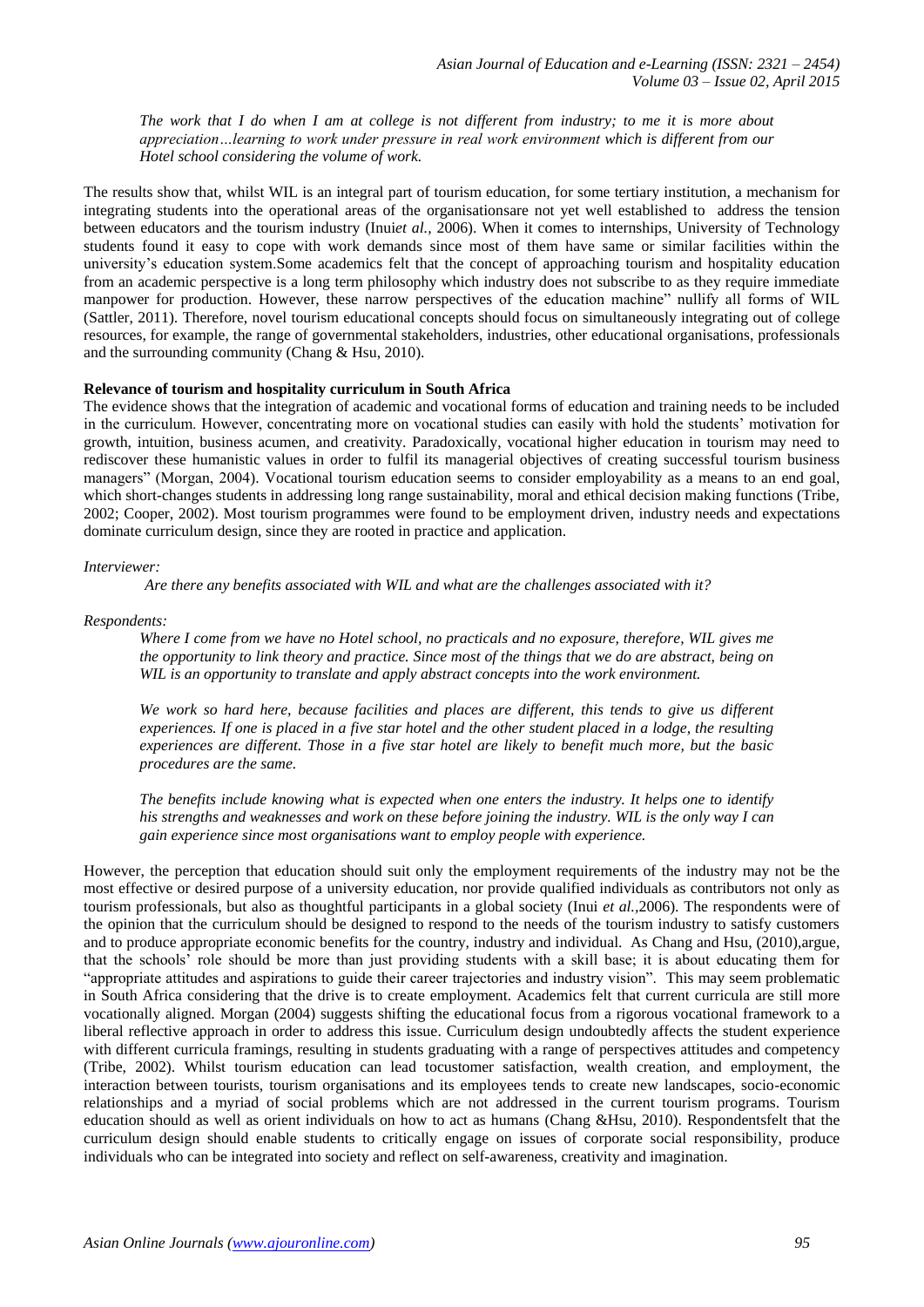*The work that I do when I am at college is not different from industry; to me it is more about appreciation…learning to work under pressure in real work environment which is different from our Hotel school considering the volume of work.*

The results show that, whilst WIL is an integral part of tourism education, for some tertiary institution, a mechanism for integrating students into the operational areas of the organisationsare not yet well established to address the tension between educators and the tourism industry (Inui*et al.,* 2006). When it comes to internships, University of Technology students found it easy to cope with work demands since most of them have same or similar facilities within the university's education system.Some academics felt that the concept of approaching tourism and hospitality education from an academic perspective is a long term philosophy which industry does not subscribe to as they require immediate manpower for production. However, these narrow perspectives of the education machine" nullify all forms of WIL (Sattler, 2011). Therefore, novel tourism educational concepts should focus on simultaneously integrating out of college resources, for example, the range of governmental stakeholders, industries, other educational organisations, professionals and the surrounding community (Chang & Hsu, 2010).

## **Relevance of tourism and hospitality curriculum in South Africa**

The evidence shows that the integration of academic and vocational forms of education and training needs to be included in the curriculum. However, concentrating more on vocational studies can easily with hold the students' motivation for growth, intuition, business acumen, and creativity. Paradoxically, vocational higher education in tourism may need to rediscover these humanistic values in order to fulfil its managerial objectives of creating successful tourism business managers" (Morgan, 2004). Vocational tourism education seems to consider employability as a means to an end goal, which short-changes students in addressing long range sustainability, moral and ethical decision making functions (Tribe, 2002; Cooper, 2002). Most tourism programmes were found to be employment driven, industry needs and expectations dominate curriculum design, since they are rooted in practice and application.

#### *Interviewer:*

*Are there any benefits associated with WIL and what are the challenges associated with it?*

## *Respondents:*

*Where I come from we have no Hotel school, no practicals and no exposure, therefore, WIL gives me the opportunity to link theory and practice. Since most of the things that we do are abstract, being on WIL is an opportunity to translate and apply abstract concepts into the work environment.* 

*We work so hard here, because facilities and places are different, this tends to give us different experiences. If one is placed in a five star hotel and the other student placed in a lodge, the resulting experiences are different. Those in a five star hotel are likely to benefit much more, but the basic procedures are the same.*

*The benefits include knowing what is expected when one enters the industry. It helps one to identify his strengths and weaknesses and work on these before joining the industry. WIL is the only way I can gain experience since most organisations want to employ people with experience.* 

However, the perception that education should suit only the employment requirements of the industry may not be the most effective or desired purpose of a university education, nor provide qualified individuals as contributors not only as tourism professionals, but also as thoughtful participants in a global society (Inui *et al.,*2006). The respondents were of the opinion that the curriculum should be designed to respond to the needs of the tourism industry to satisfy customers and to produce appropriate economic benefits for the country, industry and individual. As Chang and Hsu, (2010),argue, that the schools" role should be more than just providing students with a skill base; it is about educating them for "appropriate attitudes and aspirations to guide their career trajectories and industry vision". This may seem problematic in South Africa considering that the drive is to create employment. Academics felt that current curricula are still more vocationally aligned. Morgan (2004) suggests shifting the educational focus from a rigorous vocational framework to a liberal reflective approach in order to address this issue. Curriculum design undoubtedly affects the student experience with different curricula framings, resulting in students graduating with a range of perspectives attitudes and competency (Tribe, 2002). Whilst tourism education can lead tocustomer satisfaction, wealth creation, and employment, the interaction between tourists, tourism organisations and its employees tends to create new landscapes, socio-economic relationships and a myriad of social problems which are not addressed in the current tourism programs. Tourism education should as well as orient individuals on how to act as humans (Chang &Hsu, 2010). Respondentsfelt that the curriculum design should enable students to critically engage on issues of corporate social responsibility, produce individuals who can be integrated into society and reflect on self-awareness, creativity and imagination.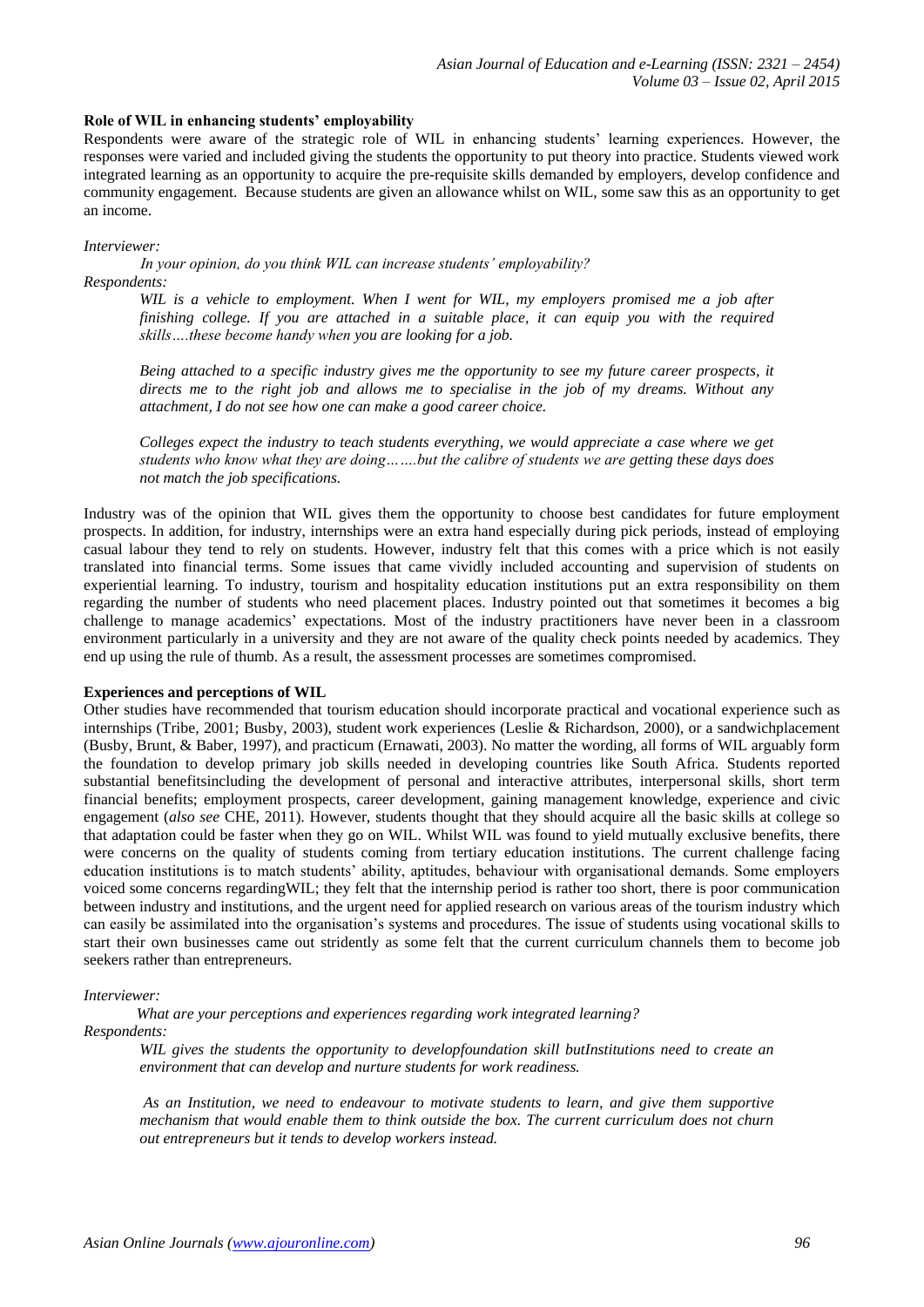## **Role of WIL in enhancing students' employability**

Respondents were aware of the strategic role of WIL in enhancing students" learning experiences. However, the responses were varied and included giving the students the opportunity to put theory into practice. Students viewed work integrated learning as an opportunity to acquire the pre-requisite skills demanded by employers, develop confidence and community engagement. Because students are given an allowance whilst on WIL, some saw this as an opportunity to get an income.

#### *Interviewer:*

*In your opinion, do you think WIL can increase students' employability? Respondents:* 

*WIL is a vehicle to employment. When I went for WIL, my employers promised me a job after finishing college. If you are attached in a suitable place, it can equip you with the required skills….these become handy when you are looking for a job.* 

*Being attached to a specific industry gives me the opportunity to see my future career prospects, it directs me to the right job and allows me to specialise in the job of my dreams. Without any attachment, I do not see how one can make a good career choice.*

*Colleges expect the industry to teach students everything, we would appreciate a case where we get students who know what they are doing…….but the calibre of students we are getting these days does not match the job specifications.*

Industry was of the opinion that WIL gives them the opportunity to choose best candidates for future employment prospects. In addition, for industry, internships were an extra hand especially during pick periods, instead of employing casual labour they tend to rely on students. However, industry felt that this comes with a price which is not easily translated into financial terms. Some issues that came vividly included accounting and supervision of students on experiential learning. To industry, tourism and hospitality education institutions put an extra responsibility on them regarding the number of students who need placement places. Industry pointed out that sometimes it becomes a big challenge to manage academics" expectations. Most of the industry practitioners have never been in a classroom environment particularly in a university and they are not aware of the quality check points needed by academics. They end up using the rule of thumb. As a result, the assessment processes are sometimes compromised.

## **Experiences and perceptions of WIL**

Other studies have recommended that tourism education should incorporate practical and vocational experience such as internships (Tribe, 2001; Busby, 2003), student work experiences (Leslie & Richardson, 2000), or a sandwichplacement (Busby, Brunt, & Baber, 1997), and practicum (Ernawati, 2003). No matter the wording, all forms of WIL arguably form the foundation to develop primary job skills needed in developing countries like South Africa. Students reported substantial benefitsincluding the development of personal and interactive attributes, interpersonal skills, short term financial benefits; employment prospects, career development, gaining management knowledge, experience and civic engagement (*also see* CHE, 2011). However, students thought that they should acquire all the basic skills at college so that adaptation could be faster when they go on WIL. Whilst WIL was found to yield mutually exclusive benefits, there were concerns on the quality of students coming from tertiary education institutions. The current challenge facing education institutions is to match students" ability, aptitudes, behaviour with organisational demands. Some employers voiced some concerns regardingWIL; they felt that the internship period is rather too short, there is poor communication between industry and institutions, and the urgent need for applied research on various areas of the tourism industry which can easily be assimilated into the organisation"s systems and procedures. The issue of students using vocational skills to start their own businesses came out stridently as some felt that the current curriculum channels them to become job seekers rather than entrepreneurs.

#### *Interviewer:*

*What are your perceptions and experiences regarding work integrated learning? Respondents:*

*WIL gives the students the opportunity to developfoundation skill butInstitutions need to create an environment that can develop and nurture students for work readiness.*

*As an Institution, we need to endeavour to motivate students to learn, and give them supportive mechanism that would enable them to think outside the box. The current curriculum does not churn out entrepreneurs but it tends to develop workers instead.*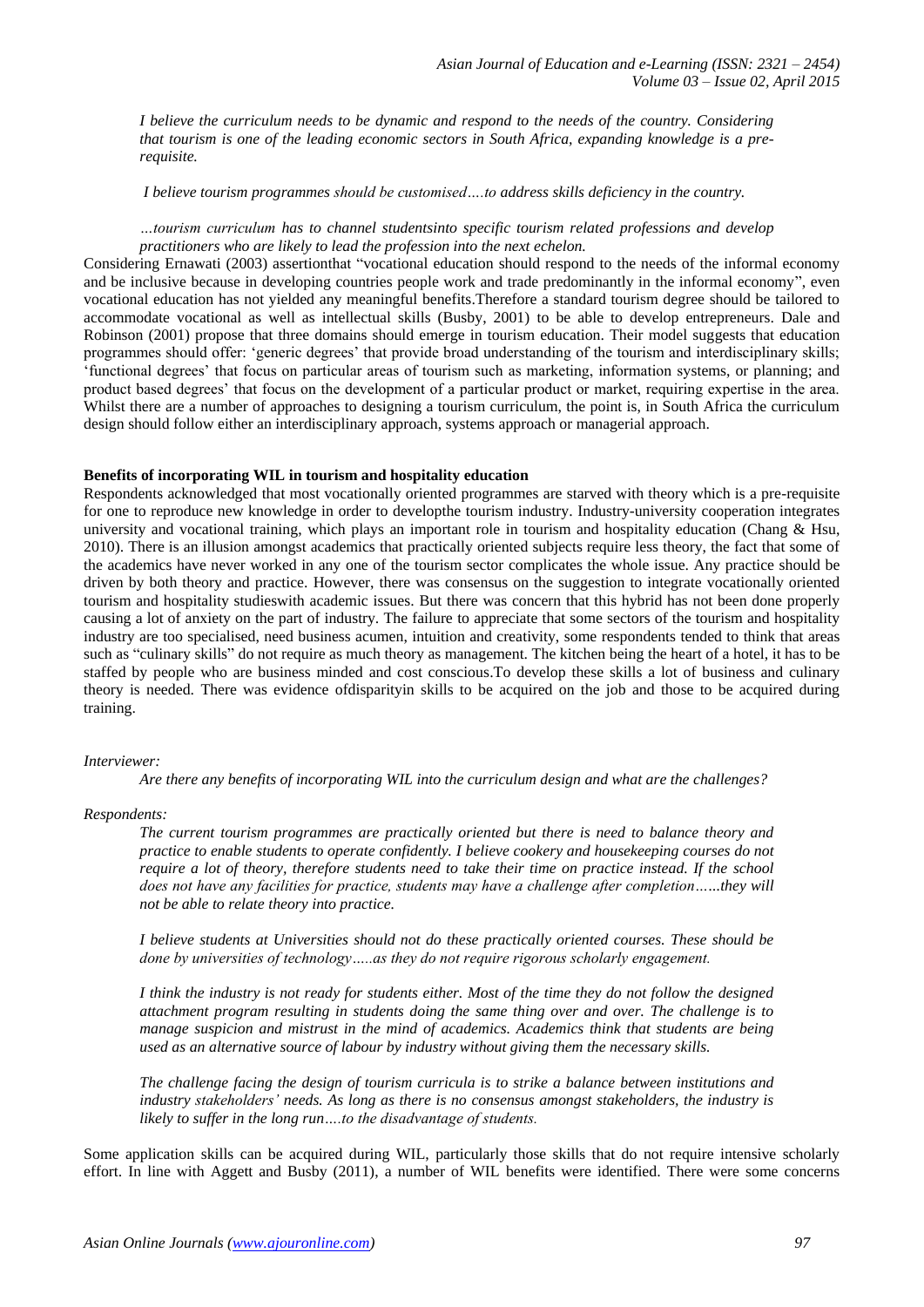*I believe the curriculum needs to be dynamic and respond to the needs of the country. Considering that tourism is one of the leading economic sectors in South Africa, expanding knowledge is a prerequisite.*

*I believe tourism programmes should be customised….to address skills deficiency in the country.* 

## *…tourism curriculum has to channel studentsinto specific tourism related professions and develop practitioners who are likely to lead the profession into the next echelon.*

Considering Ernawati (2003) assertionthat "vocational education should respond to the needs of the informal economy and be inclusive because in developing countries people work and trade predominantly in the informal economy", even vocational education has not yielded any meaningful benefits.Therefore a standard tourism degree should be tailored to accommodate vocational as well as intellectual skills (Busby, 2001) to be able to develop entrepreneurs. Dale and Robinson (2001) propose that three domains should emerge in tourism education. Their model suggests that education programmes should offer: "generic degrees" that provide broad understanding of the tourism and interdisciplinary skills; "functional degrees" that focus on particular areas of tourism such as marketing, information systems, or planning; and product based degrees" that focus on the development of a particular product or market, requiring expertise in the area. Whilst there are a number of approaches to designing a tourism curriculum, the point is, in South Africa the curriculum design should follow either an interdisciplinary approach, systems approach or managerial approach.

#### **Benefits of incorporating WIL in tourism and hospitality education**

Respondents acknowledged that most vocationally oriented programmes are starved with theory which is a pre-requisite for one to reproduce new knowledge in order to developthe tourism industry. Industry-university cooperation integrates university and vocational training, which plays an important role in tourism and hospitality education (Chang & Hsu, 2010). There is an illusion amongst academics that practically oriented subjects require less theory, the fact that some of the academics have never worked in any one of the tourism sector complicates the whole issue. Any practice should be driven by both theory and practice. However, there was consensus on the suggestion to integrate vocationally oriented tourism and hospitality studieswith academic issues. But there was concern that this hybrid has not been done properly causing a lot of anxiety on the part of industry. The failure to appreciate that some sectors of the tourism and hospitality industry are too specialised, need business acumen, intuition and creativity, some respondents tended to think that areas such as "culinary skills" do not require as much theory as management. The kitchen being the heart of a hotel, it has to be staffed by people who are business minded and cost conscious.To develop these skills a lot of business and culinary theory is needed. There was evidence ofdisparityin skills to be acquired on the job and those to be acquired during training.

#### *Interviewer:*

*Are there any benefits of incorporating WIL into the curriculum design and what are the challenges?* 

#### *Respondents:*

*The current tourism programmes are practically oriented but there is need to balance theory and practice to enable students to operate confidently. I believe cookery and housekeeping courses do not require a lot of theory, therefore students need to take their time on practice instead. If the school does not have any facilities for practice, students may have a challenge after completion…...they will not be able to relate theory into practice.* 

*I believe students at Universities should not do these practically oriented courses. These should be done by universities of technology…..as they do not require rigorous scholarly engagement.* 

*I think the industry is not ready for students either. Most of the time they do not follow the designed attachment program resulting in students doing the same thing over and over. The challenge is to manage suspicion and mistrust in the mind of academics. Academics think that students are being used as an alternative source of labour by industry without giving them the necessary skills.*

*The challenge facing the design of tourism curricula is to strike a balance between institutions and industry stakeholders' needs. As long as there is no consensus amongst stakeholders, the industry is likely to suffer in the long run….to the disadvantage of students.*

Some application skills can be acquired during WIL, particularly those skills that do not require intensive scholarly effort. In line with Aggett and Busby (2011), a number of WIL benefits were identified. There were some concerns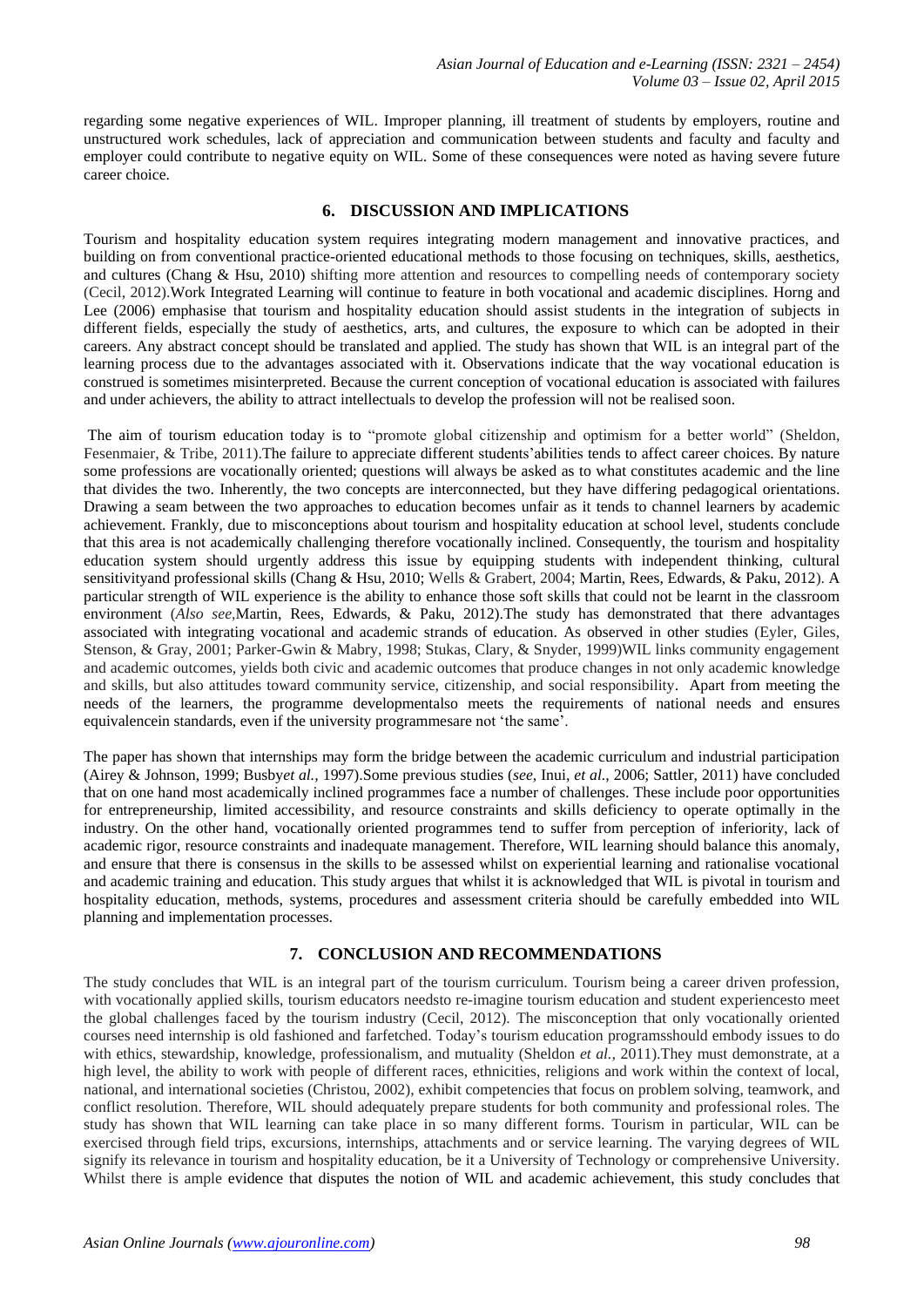regarding some negative experiences of WIL. Improper planning, ill treatment of students by employers, routine and unstructured work schedules, lack of appreciation and communication between students and faculty and faculty and employer could contribute to negative equity on WIL. Some of these consequences were noted as having severe future career choice.

## **6. DISCUSSION AND IMPLICATIONS**

Tourism and hospitality education system requires integrating modern management and innovative practices, and building on from conventional practice-oriented educational methods to those focusing on techniques, skills, aesthetics, and cultures (Chang & Hsu, 2010) shifting more attention and resources to compelling needs of contemporary society (Cecil, 2012).Work Integrated Learning will continue to feature in both vocational and academic disciplines. Horng and Lee (2006) emphasise that tourism and hospitality education should assist students in the integration of subjects in different fields, especially the study of aesthetics, arts, and cultures, the exposure to which can be adopted in their careers. Any abstract concept should be translated and applied. The study has shown that WIL is an integral part of the learning process due to the advantages associated with it. Observations indicate that the way vocational education is construed is sometimes misinterpreted. Because the current conception of vocational education is associated with failures and under achievers, the ability to attract intellectuals to develop the profession will not be realised soon.

The aim of tourism education today is to "promote global citizenship and optimism for a better world" (Sheldon, Fesenmaier, & Tribe, 2011).The failure to appreciate different students"abilities tends to affect career choices. By nature some professions are vocationally oriented; questions will always be asked as to what constitutes academic and the line that divides the two. Inherently, the two concepts are interconnected, but they have differing pedagogical orientations. Drawing a seam between the two approaches to education becomes unfair as it tends to channel learners by academic achievement. Frankly, due to misconceptions about tourism and hospitality education at school level, students conclude that this area is not academically challenging therefore vocationally inclined. Consequently, the tourism and hospitality education system should urgently address this issue by equipping students with independent thinking, cultural sensitivityand professional skills (Chang & Hsu, 2010; Wells & Grabert, 2004; Martin, Rees, Edwards, & Paku, 2012). A particular strength of WIL experience is the ability to enhance those soft skills that could not be learnt in the classroom environment (*Also see,*Martin, Rees, Edwards, & Paku, 2012).The study has demonstrated that there advantages associated with integrating vocational and academic strands of education. As observed in other studies (Eyler, Giles, Stenson, & Gray, 2001; Parker-Gwin & Mabry, 1998; Stukas, Clary, & Snyder, 1999)WIL links community engagement and academic outcomes, yields both civic and academic outcomes that produce changes in not only academic knowledge and skills, but also attitudes toward community service, citizenship, and social responsibility. Apart from meeting the needs of the learners, the programme developmentalso meets the requirements of national needs and ensures equivalencein standards, even if the university programmesare not 'the same'.

The paper has shown that internships may form the bridge between the academic curriculum and industrial participation (Airey & Johnson, 1999; Busby*et al.,* 1997).Some previous studies (*see,* Inui, *et al.,* 2006; Sattler, 2011) have concluded that on one hand most academically inclined programmes face a number of challenges. These include poor opportunities for entrepreneurship, limited accessibility, and resource constraints and skills deficiency to operate optimally in the industry. On the other hand, vocationally oriented programmes tend to suffer from perception of inferiority, lack of academic rigor, resource constraints and inadequate management. Therefore, WIL learning should balance this anomaly, and ensure that there is consensus in the skills to be assessed whilst on experiential learning and rationalise vocational and academic training and education. This study argues that whilst it is acknowledged that WIL is pivotal in tourism and hospitality education, methods, systems, procedures and assessment criteria should be carefully embedded into WIL planning and implementation processes.

# **7. CONCLUSION AND RECOMMENDATIONS**

The study concludes that WIL is an integral part of the tourism curriculum. Tourism being a career driven profession, with vocationally applied skills, tourism educators needsto re-imagine tourism education and student experiencesto meet the global challenges faced by the tourism industry (Cecil, 2012). The misconception that only vocationally oriented courses need internship is old fashioned and farfetched. Today"s tourism education programsshould embody issues to do with ethics, stewardship, knowledge, professionalism, and mutuality (Sheldon *et al.*, 2011). They must demonstrate, at a high level, the ability to work with people of different races, ethnicities, religions and work within the context of local, national, and international societies (Christou, 2002), exhibit competencies that focus on problem solving, teamwork, and conflict resolution. Therefore, WIL should adequately prepare students for both community and professional roles. The study has shown that WIL learning can take place in so many different forms. Tourism in particular, WIL can be exercised through field trips, excursions, internships, attachments and or service learning. The varying degrees of WIL signify its relevance in tourism and hospitality education, be it a University of Technology or comprehensive University. Whilst there is ample evidence that disputes the notion of WIL and academic achievement, this study concludes that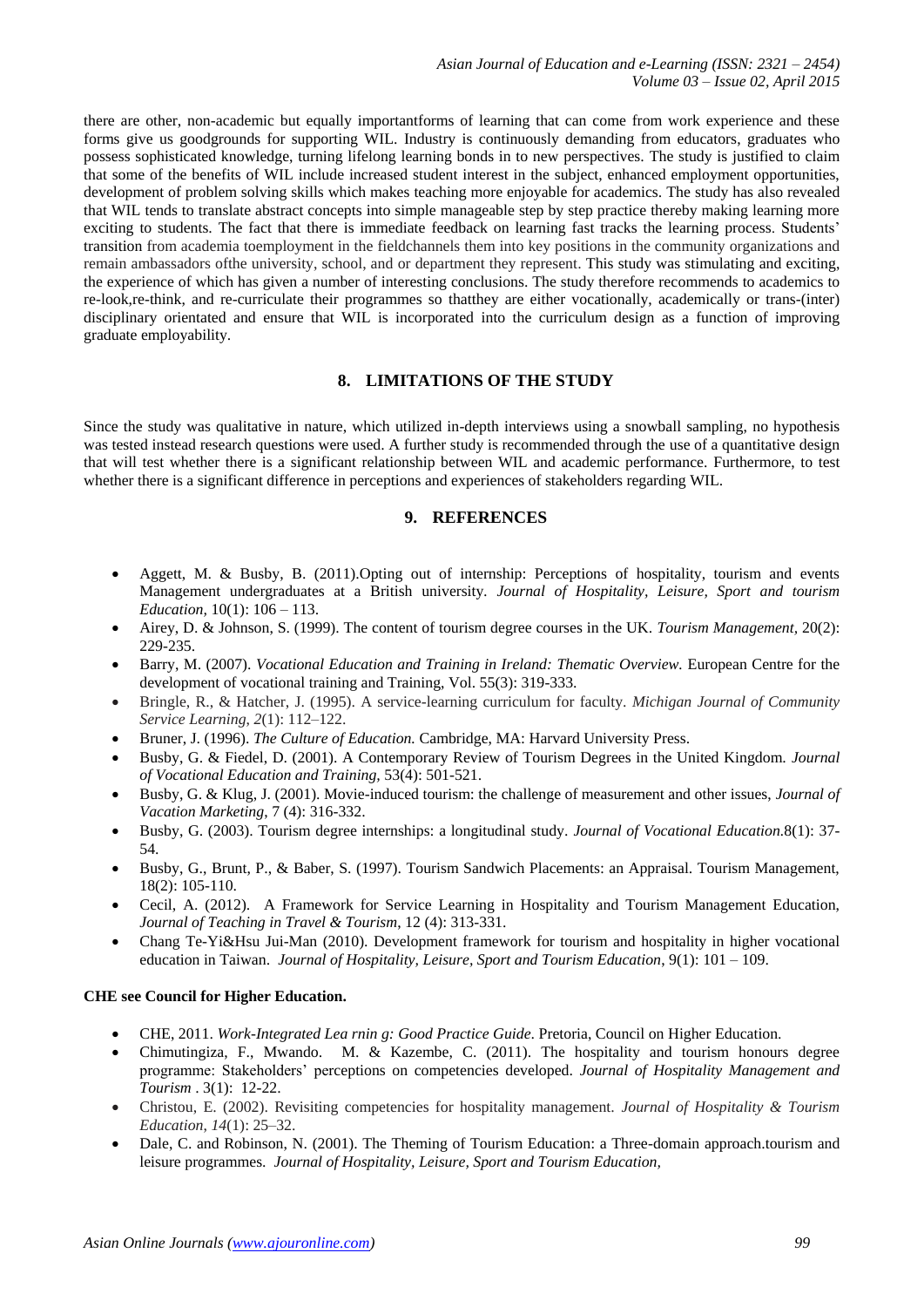there are other, non-academic but equally importantforms of learning that can come from work experience and these forms give us goodgrounds for supporting WIL. Industry is continuously demanding from educators, graduates who possess sophisticated knowledge, turning lifelong learning bonds in to new perspectives. The study is justified to claim that some of the benefits of WIL include increased student interest in the subject, enhanced employment opportunities, development of problem solving skills which makes teaching more enjoyable for academics. The study has also revealed that WIL tends to translate abstract concepts into simple manageable step by step practice thereby making learning more exciting to students. The fact that there is immediate feedback on learning fast tracks the learning process. Students' transition from academia toemployment in the fieldchannels them into key positions in the community organizations and remain ambassadors ofthe university, school, and or department they represent. This study was stimulating and exciting, the experience of which has given a number of interesting conclusions. The study therefore recommends to academics to re-look,re-think, and re-curriculate their programmes so thatthey are either vocationally, academically or trans-(inter) disciplinary orientated and ensure that WIL is incorporated into the curriculum design as a function of improving graduate employability.

# **8. LIMITATIONS OF THE STUDY**

Since the study was qualitative in nature, which utilized in-depth interviews using a snowball sampling, no hypothesis was tested instead research questions were used. A further study is recommended through the use of a quantitative design that will test whether there is a significant relationship between WIL and academic performance. Furthermore, to test whether there is a significant difference in perceptions and experiences of stakeholders regarding WIL.

## **9. REFERENCES**

- Aggett, M. & Busby, B. (2011).Opting out of internship: Perceptions of hospitality, tourism and events Management undergraduates at a British university*. Journal of Hospitality, Leisure, Sport and tourism Education,* 10(1): 106 – 113.
- Airey, D. & Johnson, S. (1999). The content of tourism degree courses in the UK. *Tourism Management,* 20(2): 229-235.
- Barry, M. (2007). *Vocational Education and Training in Ireland: Thematic Overview.* European Centre for the development of vocational training and Training, Vol. 55(3): 319-333.
- Bringle, R., & Hatcher, J. (1995). A service-learning curriculum for faculty. *Michigan Journal of Community Service Learning*, *2*(1): 112–122.
- Bruner, J. (1996). *The Culture of Education.* Cambridge, MA: Harvard University Press.
- Busby, G. & Fiedel, D. (2001). A Contemporary Review of Tourism Degrees in the United Kingdom. *Journal of Vocational Education and Training,* 53(4): 501-521.
- Busby, G. & Klug, J. (2001). Movie-induced tourism: the challenge of measurement and other issues, *Journal of Vacation Marketing*, 7 (4): 316-332.
- Busby, G. (2003). Tourism degree internships: a longitudinal study. *Journal of Vocational Education.*8(1): 37- 54.
- Busby, G., Brunt, P., & Baber, S. (1997). Tourism Sandwich Placements: an Appraisal. Tourism Management, 18(2): 105-110.
- Cecil, A. (2012). A Framework for Service Learning in Hospitality and Tourism Management Education, *Journal of Teaching in Travel & Tourism*, 12 (4): 313-331.
- Chang Te-Yi&Hsu Jui-Man (2010). Development framework for tourism and hospitality in higher vocational education in Taiwan. *Journal of Hospitality, Leisure, Sport and Tourism Education*, 9(1): 101 – 109.

#### **CHE see Council for Higher Education.**

- CHE, 2011. *Work-Integrated Lea rnin g: Good Practice Guide*. Pretoria, Council on Higher Education.
- Chimutingiza, F., Mwando. M. & Kazembe, C. (2011). The hospitality and tourism honours degree programme: Stakeholders" perceptions on competencies developed. *Journal of Hospitality Management and Tourism* . 3(1): 12-22.
- Christou, E. (2002). Revisiting competencies for hospitality management. *Journal of Hospitality & Tourism Education*, *14*(1): 25–32.
- Dale, C. and Robinson, N. (2001). The Theming of Tourism Education: a Three-domain approach.tourism and leisure programmes. *Journal of Hospitality, Leisure, Sport and Tourism Education,*